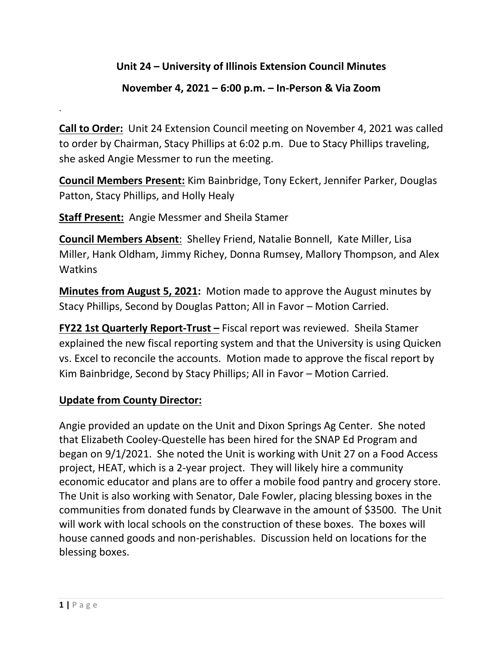## **Unit 24 – University of Illinois Extension Council Minutes**

## **November 4, 2021 – 6:00 p.m. – In-Person & Via Zoom**

**Call to Order:** Unit 24 Extension Council meeting on November 4, 2021 was called to order by Chairman, Stacy Phillips at 6:02 p.m. Due to Stacy Phillips traveling, she asked Angie Messmer to run the meeting.

**Council Members Present:** Kim Bainbridge, Tony Eckert, Jennifer Parker, Douglas Patton, Stacy Phillips, and Holly Healy

**Staff Present:** Angie Messmer and Sheila Stamer

**Council Members Absent**: Shelley Friend, Natalie Bonnell, Kate Miller, Lisa Miller, Hank Oldham, Jimmy Richey, Donna Rumsey, Mallory Thompson, and Alex Watkins

**Minutes from August 5, 2021:** Motion made to approve the August minutes by Stacy Phillips, Second by Douglas Patton; All in Favor – Motion Carried.

**FY22 1st Quarterly Report-Trust –** Fiscal report was reviewed. Sheila Stamer explained the new fiscal reporting system and that the University is using Quicken vs. Excel to reconcile the accounts. Motion made to approve the fiscal report by Kim Bainbridge, Second by Stacy Phillips; All in Favor – Motion Carried.

## **Update from County Director:**

Angie provided an update on the Unit and Dixon Springs Ag Center. She noted that Elizabeth Cooley-Questelle has been hired for the SNAP Ed Program and began on 9/1/2021. She noted the Unit is working with Unit 27 on a Food Access project, HEAT, which is a 2-year project. They will likely hire a community economic educator and plans are to offer a mobile food pantry and grocery store. The Unit is also working with Senator, Dale Fowler, placing blessing boxes in the communities from donated funds by Clearwave in the amount of \$3500. The Unit will work with local schools on the construction of these boxes. The boxes will house canned goods and non-perishables. Discussion held on locations for the blessing boxes.

.